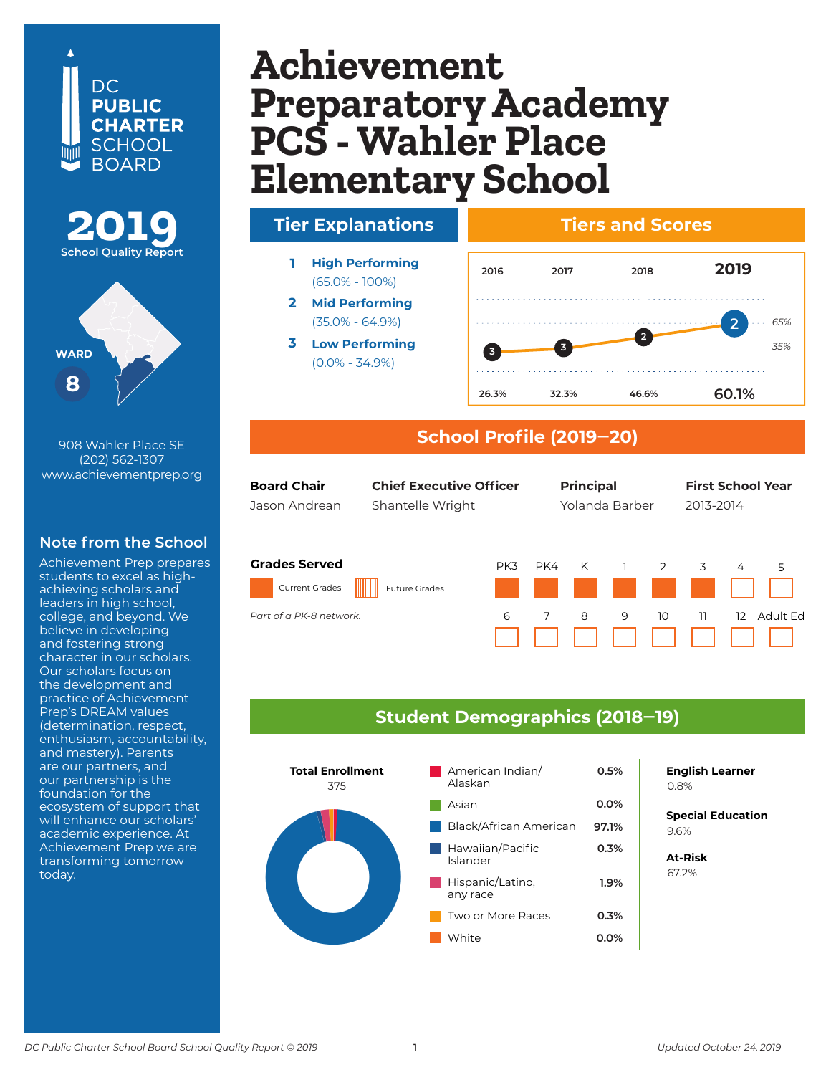### DC. **PUBLIC CHARTER SCHOOL BOARD**



908 Wahler Place SE (202) 562-1307 www.achievementprep.org

### **Note from the School**

Achievement Prep prepares students to excel as highachieving scholars and leaders in high school, college, and beyond. We believe in developing and fostering strong character in our scholars. Our scholars focus on the development and practice of Achievement Prep's DREAM values (determination, respect, enthusiasm, accountability, and mastery). Parents are our partners, and our partnership is the foundation for the ecosystem of support that will enhance our scholars' academic experience. At Achievement Prep we are transforming tomorrow today.

## $\mathbf{A}$ chievement **Early Preparatory Aca PCS - Wanier P Preparatory Academy PCS - Wahler Place Elementary School**



#### **School Profile (2019‒20)**

| <b>Board Chair</b><br>Jason Andrean           | <b>Chief Executive Officer</b><br>Shantelle Wright |     | <b>Principal</b><br>Yolanda Barber |              |                                              |    | <b>First School Year</b><br>2013-2014 |                   |          |
|-----------------------------------------------|----------------------------------------------------|-----|------------------------------------|--------------|----------------------------------------------|----|---------------------------------------|-------------------|----------|
| <b>Grades Served</b><br><b>Current Grades</b> | <b>Future Grades</b>                               | PK3 | PK4                                | $\mathsf{K}$ | $\overline{1}$<br>and the state of the state | 2  | 3                                     | $\overline{4}$    | 5        |
| Part of a PK-8 network.                       |                                                    | 6   | 7                                  | 8            | 9                                            | 10 | -11                                   | $12 \overline{ }$ | Adult Ed |

#### **Student Demographics (2018‒19)**



**English Learner**

*65% 35%*

**2**

**<sup>1</sup> 1**

**Special Education** 6.2% 9.6%

**At-Risk** 37.0% 67.2%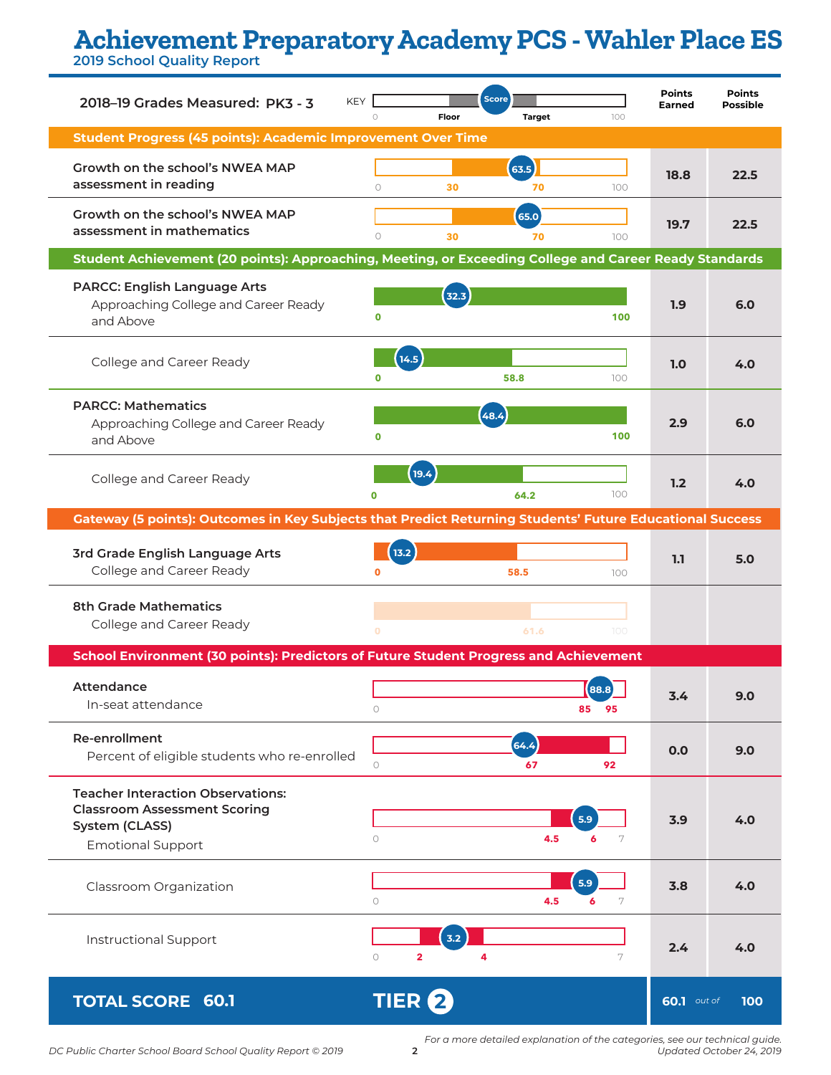# **Achievement Preparatory Academy PCS - Wahler Place ES**

**2019 School Quality Report**

| 2018-19 Grades Measured: PK3 - 3                                                                                              |             | Floor                    | <b>Score</b><br><b>Target</b> | 100           | <b>Points</b><br><b>Earned</b> | <b>Points</b><br><b>Possible</b> |  |  |  |
|-------------------------------------------------------------------------------------------------------------------------------|-------------|--------------------------|-------------------------------|---------------|--------------------------------|----------------------------------|--|--|--|
| <b>Student Progress (45 points): Academic Improvement Over Time</b>                                                           |             |                          |                               |               |                                |                                  |  |  |  |
| Growth on the school's NWEA MAP<br>assessment in reading                                                                      | $\circ$     | 30                       | (63.5)<br>70                  | 100           | 18.8                           | 22.5                             |  |  |  |
| Growth on the school's NWEA MAP<br>assessment in mathematics                                                                  | $\circ$     | 30                       | 65.0<br>70                    | 100           | 19.7                           | 22.5                             |  |  |  |
| Student Achievement (20 points): Approaching, Meeting, or Exceeding College and Career Ready Standards                        |             |                          |                               |               |                                |                                  |  |  |  |
| <b>PARCC: English Language Arts</b><br>Approaching College and Career Ready<br>and Above                                      | 0           | (32.3)                   |                               | 100           | 1.9                            | 6.0                              |  |  |  |
| College and Career Ready                                                                                                      | $\mathbf 0$ | 14.5                     | 58.8                          | 100           | 1.0                            | 4.0                              |  |  |  |
| <b>PARCC: Mathematics</b><br>Approaching College and Career Ready<br>and Above                                                | $\mathbf 0$ |                          | 48.4                          | 100           | 2.9                            | 6.0                              |  |  |  |
| College and Career Ready                                                                                                      | $\mathbf 0$ | (19.4)                   | 64.2                          | 100           | 1.2                            | 4.0                              |  |  |  |
| Gateway (5 points): Outcomes in Key Subjects that Predict Returning Students' Future Educational Success                      |             |                          |                               |               |                                |                                  |  |  |  |
| 3rd Grade English Language Arts<br>College and Career Ready                                                                   | $\mathbf 0$ | 13.2                     | 58.5                          | 100           | 1.1                            | 5.0                              |  |  |  |
| <b>8th Grade Mathematics</b><br>College and Career Ready                                                                      | $\Omega$    |                          | 61.6                          | 100           |                                |                                  |  |  |  |
| School Environment (30 points): Predictors of Future Student Progress and Achievement                                         |             |                          |                               |               |                                |                                  |  |  |  |
| Attendance<br>In-seat attendance                                                                                              | $\circ$     |                          |                               | 88.8<br>85 95 | 3.4                            | 9.0                              |  |  |  |
| Re-enrollment<br>Percent of eligible students who re-enrolled                                                                 | $\bigcirc$  |                          | (64.4)<br>67                  | 92            | 0.0                            | 9.0                              |  |  |  |
| <b>Teacher Interaction Observations:</b><br><b>Classroom Assessment Scoring</b><br>System (CLASS)<br><b>Emotional Support</b> | $\circ$     |                          | 4.5                           | 5.9<br>6<br>7 | 3.9                            | 4.0                              |  |  |  |
| Classroom Organization                                                                                                        | $\circ$     |                          | 4.5                           | 5.9<br>7<br>6 | 3.8                            | 4.0                              |  |  |  |
| <b>Instructional Support</b>                                                                                                  | $\circ$     | 3.2<br>$\overline{2}$    | 4                             | 7             | 2.4                            | 4.0                              |  |  |  |
| <b>TOTAL SCORE 60.1</b>                                                                                                       |             | <b>TIER</b> <sup>2</sup> |                               |               | <b>60.1</b> out of             | 100                              |  |  |  |

*For a more detailed explanation of the categories, see our technical guide. Updated October 24, 2019*